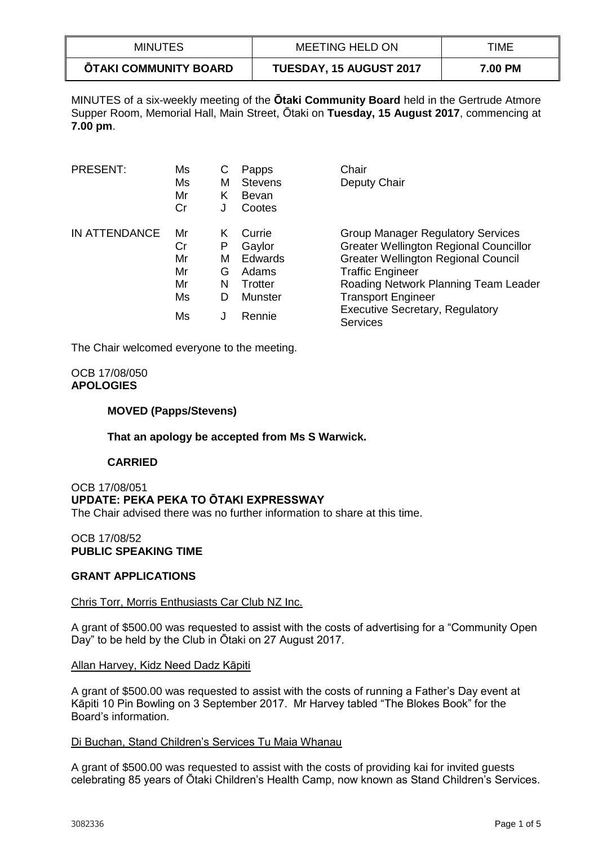| <b>MINUTES</b>               | MEETING HELD ON                | TIME           |
|------------------------------|--------------------------------|----------------|
| <b>OTAKI COMMUNITY BOARD</b> | <b>TUESDAY, 15 AUGUST 2017</b> | <b>7.00 PM</b> |

MINUTES of a six-weekly meeting of the **Ōtaki Community Board** held in the Gertrude Atmore Supper Room, Memorial Hall, Main Street, Ōtaki on **Tuesday, 15 August 2017**, commencing at **7.00 pm**.

| PRESENT:      | Ms<br>Ms<br>Mr<br>Cr       | С<br>М<br>Κ<br>J      | Papps<br><b>Stevens</b><br>Bevan<br>Cootes      | Chair<br>Deputy Chair                                                                                                                                                                                      |
|---------------|----------------------------|-----------------------|-------------------------------------------------|------------------------------------------------------------------------------------------------------------------------------------------------------------------------------------------------------------|
| IN ATTENDANCE | Mr<br>Cr<br>Mr<br>Mr<br>Mr | Κ<br>P<br>м<br>G<br>N | Currie<br>Gaylor<br>Edwards<br>Adams<br>Trotter | <b>Group Manager Regulatory Services</b><br><b>Greater Wellington Regional Councillor</b><br><b>Greater Wellington Regional Council</b><br><b>Traffic Engineer</b><br>Roading Network Planning Team Leader |
|               | Ms                         | D                     | <b>Munster</b>                                  | <b>Transport Engineer</b>                                                                                                                                                                                  |
|               | Ms                         |                       | Rennie                                          | <b>Executive Secretary, Regulatory</b><br><b>Services</b>                                                                                                                                                  |

The Chair welcomed everyone to the meeting.

## OCB 17/08/050 **APOLOGIES**

## **MOVED (Papps/Stevens)**

### **That an apology be accepted from Ms S Warwick.**

### **CARRIED**

#### OCB 17/08/051 **UPDATE: PEKA PEKA TO ŌTAKI EXPRESSWAY** The Chair advised there was no further information to share at this time.

## OCB 17/08/52 **PUBLIC SPEAKING TIME**

# **GRANT APPLICATIONS**

### Chris Torr, Morris Enthusiasts Car Club NZ Inc.

A grant of \$500.00 was requested to assist with the costs of advertising for a "Community Open Day" to be held by the Club in Ōtaki on 27 August 2017.

### Allan Harvey, Kidz Need Dadz Kāpiti

A grant of \$500.00 was requested to assist with the costs of running a Father's Day event at Kāpiti 10 Pin Bowling on 3 September 2017. Mr Harvey tabled "The Blokes Book" for the Board's information.

### Di Buchan, Stand Children's Services Tu Maia Whanau

A grant of \$500.00 was requested to assist with the costs of providing kai for invited guests celebrating 85 years of Ōtaki Children's Health Camp, now known as Stand Children's Services.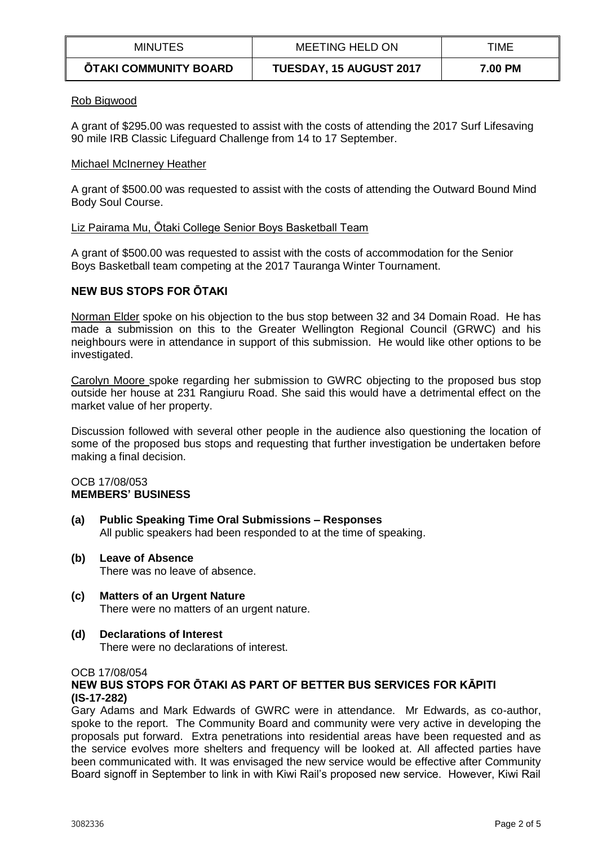| <b>MINUTES</b>               | MEETING HELD ON                | TIME    |
|------------------------------|--------------------------------|---------|
| <b>ŌTAKI COMMUNITY BOARD</b> | <b>TUESDAY, 15 AUGUST 2017</b> | 7.00 PM |

## Rob Bigwood

A grant of \$295.00 was requested to assist with the costs of attending the 2017 Surf Lifesaving 90 mile IRB Classic Lifeguard Challenge from 14 to 17 September.

## Michael McInerney Heather

A grant of \$500.00 was requested to assist with the costs of attending the Outward Bound Mind Body Soul Course.

## Liz Pairama Mu, Ōtaki College Senior Boys Basketball Team

A grant of \$500.00 was requested to assist with the costs of accommodation for the Senior Boys Basketball team competing at the 2017 Tauranga Winter Tournament.

# **NEW BUS STOPS FOR ŌTAKI**

Norman Elder spoke on his objection to the bus stop between 32 and 34 Domain Road. He has made a submission on this to the Greater Wellington Regional Council (GRWC) and his neighbours were in attendance in support of this submission. He would like other options to be investigated.

Carolyn Moore spoke regarding her submission to GWRC objecting to the proposed bus stop outside her house at 231 Rangiuru Road. She said this would have a detrimental effect on the market value of her property.

Discussion followed with several other people in the audience also questioning the location of some of the proposed bus stops and requesting that further investigation be undertaken before making a final decision.

### OCB 17/08/053 **MEMBERS' BUSINESS**

- **(a) Public Speaking Time Oral Submissions – Responses** All public speakers had been responded to at the time of speaking.
- **(b) Leave of Absence**  There was no leave of absence.
- **(c) Matters of an Urgent Nature** There were no matters of an urgent nature.
- **(d) Declarations of Interest**

There were no declarations of interest.

OCB 17/08/054

# **NEW BUS STOPS FOR ŌTAKI AS PART OF BETTER BUS SERVICES FOR KĀPITI (IS-17-282)**

Gary Adams and Mark Edwards of GWRC were in attendance. Mr Edwards, as co-author, spoke to the report. The Community Board and community were very active in developing the proposals put forward. Extra penetrations into residential areas have been requested and as the service evolves more shelters and frequency will be looked at. All affected parties have been communicated with. It was envisaged the new service would be effective after Community Board signoff in September to link in with Kiwi Rail's proposed new service. However, Kiwi Rail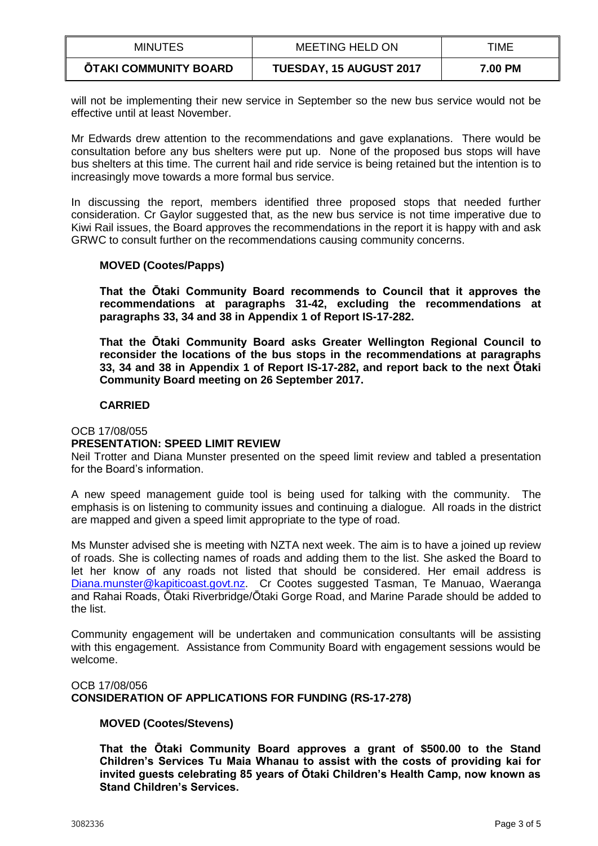| <b>MINUTES</b>        | <b>MEETING HELD ON</b>  | TIME    |
|-----------------------|-------------------------|---------|
| ŌTAKI COMMUNITY BOARD | TUESDAY, 15 AUGUST 2017 | 7.00 PM |

will not be implementing their new service in September so the new bus service would not be effective until at least November.

Mr Edwards drew attention to the recommendations and gave explanations. There would be consultation before any bus shelters were put up. None of the proposed bus stops will have bus shelters at this time. The current hail and ride service is being retained but the intention is to increasingly move towards a more formal bus service.

In discussing the report, members identified three proposed stops that needed further consideration. Cr Gaylor suggested that, as the new bus service is not time imperative due to Kiwi Rail issues, the Board approves the recommendations in the report it is happy with and ask GRWC to consult further on the recommendations causing community concerns.

## **MOVED (Cootes/Papps)**

**That the Ōtaki Community Board recommends to Council that it approves the recommendations at paragraphs 31-42, excluding the recommendations at paragraphs 33, 34 and 38 in Appendix 1 of Report IS-17-282.**

**That the Ōtaki Community Board asks Greater Wellington Regional Council to reconsider the locations of the bus stops in the recommendations at paragraphs 33, 34 and 38 in Appendix 1 of Report IS-17-282, and report back to the next Ōtaki Community Board meeting on 26 September 2017.**

## **CARRIED**

### OCB 17/08/055

# **PRESENTATION: SPEED LIMIT REVIEW**

Neil Trotter and Diana Munster presented on the speed limit review and tabled a presentation for the Board's information.

A new speed management guide tool is being used for talking with the community. The emphasis is on listening to community issues and continuing a dialogue. All roads in the district are mapped and given a speed limit appropriate to the type of road.

Ms Munster advised she is meeting with NZTA next week. The aim is to have a joined up review of roads. She is collecting names of roads and adding them to the list. She asked the Board to let her know of any roads not listed that should be considered. Her email address is [Diana.munster@kapiticoast.govt.nz.](mailto:Diana.munster@kapiticoast.govt.nz) Cr Cootes suggested Tasman, Te Manuao, Waeranga and Rahai Roads, Ōtaki Riverbridge/Ōtaki Gorge Road, and Marine Parade should be added to the list.

Community engagement will be undertaken and communication consultants will be assisting with this engagement. Assistance from Community Board with engagement sessions would be welcome.

## OCB 17/08/056 **CONSIDERATION OF APPLICATIONS FOR FUNDING (RS-17-278)**

# **MOVED (Cootes/Stevens)**

**That the Ōtaki Community Board approves a grant of \$500.00 to the Stand Children's Services Tu Maia Whanau to assist with the costs of providing kai for invited guests celebrating 85 years of Ōtaki Children's Health Camp, now known as Stand Children's Services.**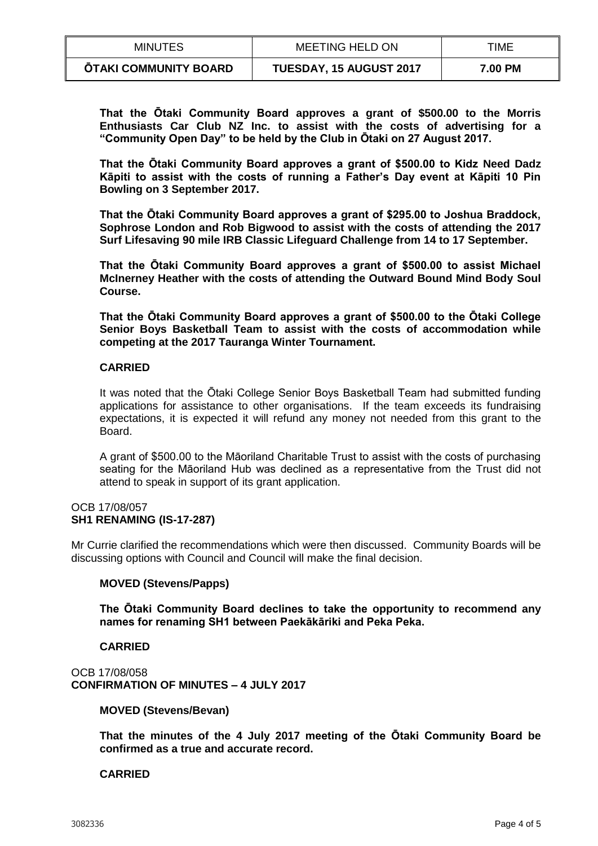| <b>MINUTES</b>               | <b>MEETING HELD ON</b>         | TIME    |
|------------------------------|--------------------------------|---------|
| <b>ŌTAKI COMMUNITY BOARD</b> | <b>TUESDAY, 15 AUGUST 2017</b> | 7.00 PM |

**That the Ōtaki Community Board approves a grant of \$500.00 to the Morris Enthusiasts Car Club NZ Inc. to assist with the costs of advertising for a "Community Open Day" to be held by the Club in Ōtaki on 27 August 2017.**

**That the Ōtaki Community Board approves a grant of \$500.00 to Kidz Need Dadz Kāpiti to assist with the costs of running a Father's Day event at Kāpiti 10 Pin Bowling on 3 September 2017.**

**That the Ōtaki Community Board approves a grant of \$295.00 to Joshua Braddock, Sophrose London and Rob Bigwood to assist with the costs of attending the 2017 Surf Lifesaving 90 mile IRB Classic Lifeguard Challenge from 14 to 17 September.**

**That the Ōtaki Community Board approves a grant of \$500.00 to assist Michael McInerney Heather with the costs of attending the Outward Bound Mind Body Soul Course.**

**That the Ōtaki Community Board approves a grant of \$500.00 to the Ōtaki College Senior Boys Basketball Team to assist with the costs of accommodation while competing at the 2017 Tauranga Winter Tournament.**

## **CARRIED**

It was noted that the Ōtaki College Senior Boys Basketball Team had submitted funding applications for assistance to other organisations. If the team exceeds its fundraising expectations, it is expected it will refund any money not needed from this grant to the Board.

A grant of \$500.00 to the Māoriland Charitable Trust to assist with the costs of purchasing seating for the Māoriland Hub was declined as a representative from the Trust did not attend to speak in support of its grant application.

#### OCB 17/08/057 **SH1 RENAMING (IS-17-287)**

Mr Currie clarified the recommendations which were then discussed. Community Boards will be discussing options with Council and Council will make the final decision.

### **MOVED (Stevens/Papps)**

**The Ōtaki Community Board declines to take the opportunity to recommend any names for renaming SH1 between Paekākāriki and Peka Peka.**

**CARRIED**

OCB 17/08/058 **CONFIRMATION OF MINUTES – 4 JULY 2017**

**MOVED (Stevens/Bevan)**

**That the minutes of the 4 July 2017 meeting of the Ōtaki Community Board be confirmed as a true and accurate record.** 

# **CARRIED**